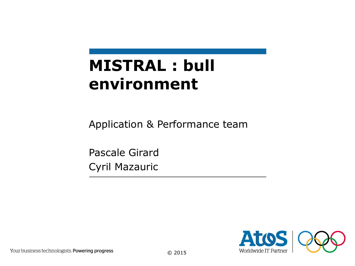# **MISTRAL : bull environment**

Application & Performance team

Pascale Girard Cyril Mazauric

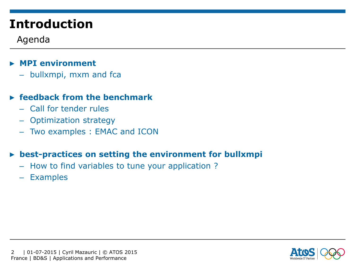## **Introduction**

### Agenda

### ▶ **MPI environment**

– bullxmpi, mxm and fca

### ▶ **feedback from the benchmark**

- Call for tender rules
- Optimization strategy
- Two examples : EMAC and ICON

#### ▶ **best-practices on setting the environment for bullxmpi**

- How to find variables to tune your application ?
- Examples

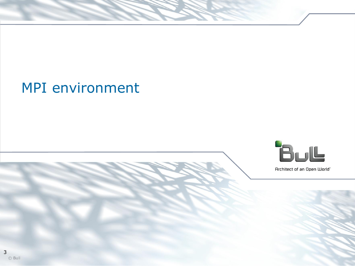

Architect of an Open World"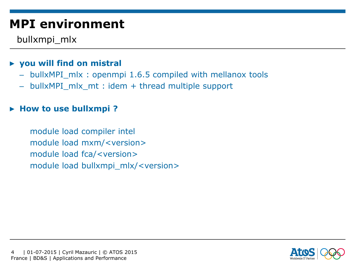bullxmpi\_mlx

### ▶ **you will find on mistral**

- bullxMPI\_mlx : openmpi 1.6.5 compiled with mellanox tools
- bullxMPI\_mlx\_mt : idem + thread multiple support

#### ▶ **How to use bullxmpi ?**

module load compiler intel module load mxm/<version> module load fca/<version> module load bullxmpi\_mlx/<version>

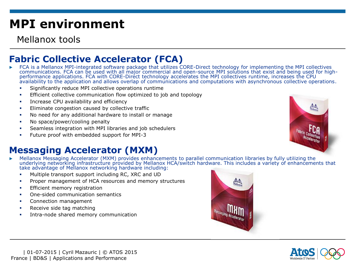Mellanox tools

### **Fabric Collective Accelerator (FCA)**

- ▶ FCA is a Mellanox MPI-integrated software package that utilizes CORE-Direct technology for implementing the MPI collectives communications. FCA can be used with all major commercial and open-source MPI solutions that exist and being used for highperformance applications. FCA with CORE-Direct technology accelerates the MPI collectives runtime, increases the CPU availability to the application and allows overlap of communications and computations with asynchronous collective operations.
	- Significantly reduce MPI collective operations runtime
	- Efficient collective communication flow optimized to job and topology
	- **EXECU AVAILLET INCREASE CPU availability and efficiency**
	- **Eliminate congestion caused by collective traffic**
	- No need for any additional hardware to install or manage
	- No space/power/cooling penalty
	- Seamless integration with MPI libraries and job schedulers
	- Future proof with embedded support for MPI-3

### **Messaging Accelerator (MXM)**

- ▶ Mellanox Messaging Accelerator (MXM) provides enhancements to parallel communication libraries by fully utilizing the underlying networking infrastructure provided by Mellanox HCA/switch hardware. This includes a variety of enhancements that take advantage of Mellanox networking hardware including:
	- Multiple transport support including RC, XRC and UD
	- Proper management of HCA resources and memory structures
	- **Efficient memory registration**
	- One-sided communication semantics
	- Connection management
	- Receive side tag matching
	- Intra-node shared memory communication





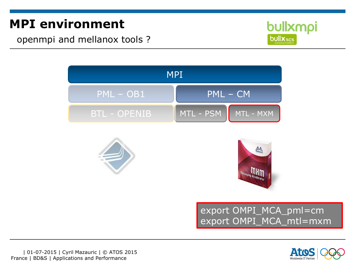openmpi and mellanox tools ?







![](_page_5_Picture_5.jpeg)

export OMPI\_MCA\_pml=cm export OMPI\_MCA\_mtl=mxm

![](_page_5_Picture_7.jpeg)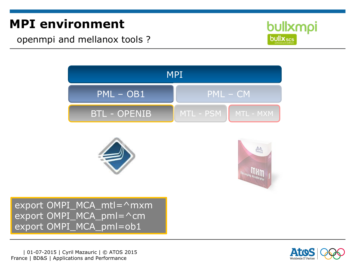openmpi and mellanox tools ?

![](_page_6_Picture_2.jpeg)

![](_page_6_Figure_3.jpeg)

![](_page_6_Picture_4.jpeg)

![](_page_6_Picture_5.jpeg)

export OMPI\_MCA\_mtl=^mxm export OMPI\_MCA\_pml=^cm export OMPI\_MCA\_pml=ob1

![](_page_6_Picture_8.jpeg)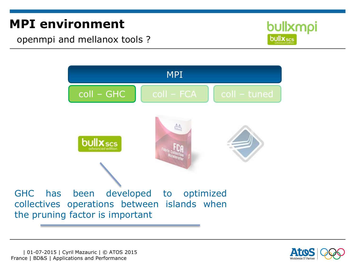openmpi and mellanox tools ?

![](_page_7_Picture_2.jpeg)

![](_page_7_Figure_3.jpeg)

![](_page_7_Picture_4.jpeg)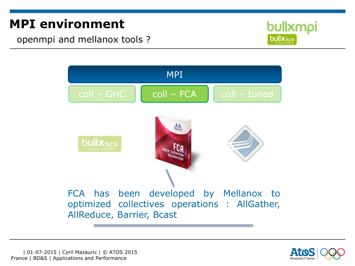openmpi and mellanox tools ?

![](_page_8_Picture_2.jpeg)

![](_page_8_Figure_3.jpeg)

![](_page_8_Picture_4.jpeg)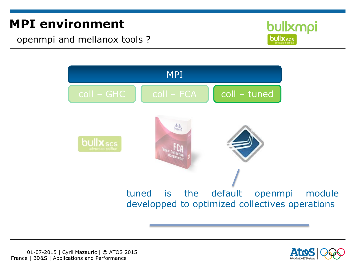openmpi and mellanox tools ?

![](_page_9_Picture_2.jpeg)

![](_page_9_Figure_3.jpeg)

![](_page_9_Picture_4.jpeg)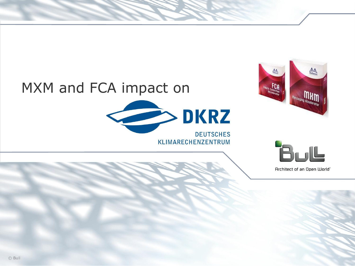# MXM and FCA impact on

![](_page_10_Picture_1.jpeg)

![](_page_10_Picture_2.jpeg)

![](_page_10_Picture_3.jpeg)

Architect of an Open World"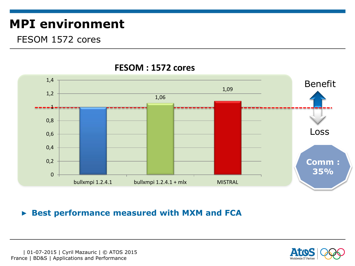### FESOM 1572 cores

![](_page_11_Figure_2.jpeg)

#### **FESOM : 1572 cores**

#### ▶ **Best performance measured with MXM and FCA**

![](_page_11_Picture_5.jpeg)

![](_page_11_Picture_6.jpeg)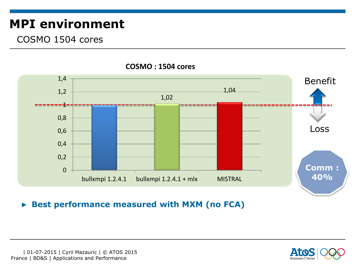### COSMO 1504 cores

![](_page_12_Figure_2.jpeg)

#### **COSMO : 1504 cores**

#### ▶ **Best performance measured with MXM (no FCA)**

![](_page_12_Picture_5.jpeg)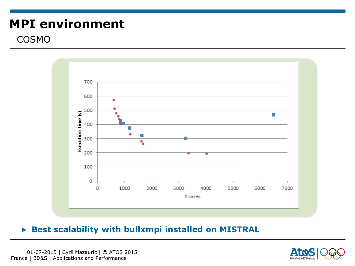### COSMO

![](_page_13_Figure_2.jpeg)

#### ▶ **Best scalability with bullxmpi installed on MISTRAL**

 | 01-07-2015 | Cyril Mazauric | © ATOS 2015 France | BD&S | Applications and Performance

![](_page_13_Picture_5.jpeg)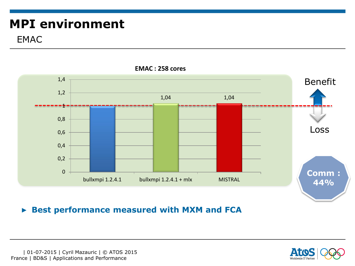### EMAC

![](_page_14_Figure_2.jpeg)

#### **EMAC : 258 cores**

#### ▶ **Best performance measured with MXM and FCA**

![](_page_14_Picture_6.jpeg)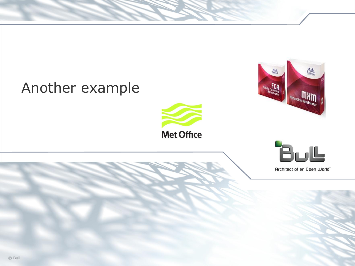## Another example

![](_page_15_Picture_1.jpeg)

![](_page_15_Picture_2.jpeg)

![](_page_15_Picture_3.jpeg)

Architect of an Open World"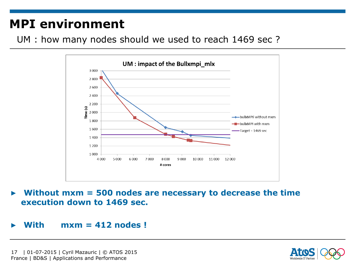UM : how many nodes should we used to reach 1469 sec ?

![](_page_16_Figure_2.jpeg)

#### ▶ **Without mxm = 500 nodes are necessary to decrease the time execution down to 1469 sec.**

#### ▶ **With mxm = 412 nodes !**

![](_page_16_Picture_6.jpeg)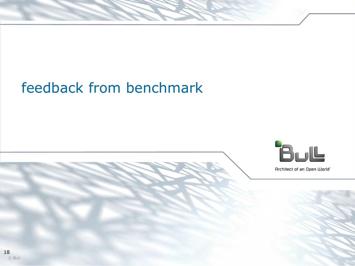# feedback from benchmark

![](_page_17_Picture_1.jpeg)

Architect of an Open World"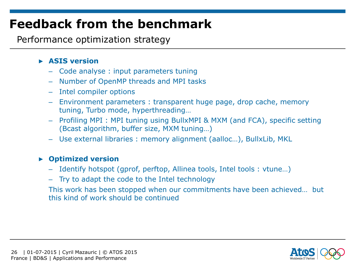Performance optimization strategy

#### ▶ **ASIS version**

- Code analyse : input parameters tuning
- Number of OpenMP threads and MPI tasks
- Intel compiler options
- Environment parameters : transparent huge page, drop cache, memory tuning, Turbo mode, hyperthreading…
- Profiling MPI : MPI tuning using BullxMPI & MXM (and FCA), specific setting (Bcast algorithm, buffer size, MXM tuning…)
- Use external libraries : memory alignment (aalloc…), BullxLib, MKL

#### ▶ **Optimized version**

- Identify hotspot (gprof, perftop, Allinea tools, Intel tools : vtune…)
- Try to adapt the code to the Intel technology

This work has been stopped when our commitments have been achieved… but this kind of work should be continued

![](_page_18_Picture_13.jpeg)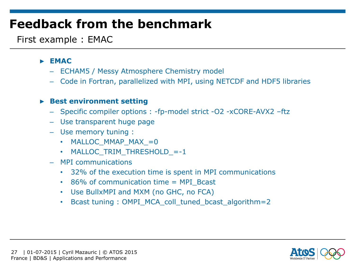First example : EMAC

#### ▶ **EMAC**

- ECHAM5 / Messy Atmosphere Chemistry model
- Code in Fortran, parallelized with MPI, using NETCDF and HDF5 libraries

#### ▶ **Best environment setting**

- Specific compiler options : -fp-model strict -O2 -xCORE-AVX2 –ftz
- Use transparent huge page
- Use memory tuning :
	- MALLOC MMAP MAX =0
	- MALLOC TRIM THRESHOLD =-1
- MPI communications
	- 32% of the execution time is spent in MPI communications
	- 86% of communication time = MPI\_Bcast
	- Use BullxMPI and MXM (no GHC, no FCA)
	- Bcast tuning : OMPI\_MCA\_coll\_tuned\_bcast\_algorithm=2

![](_page_19_Picture_16.jpeg)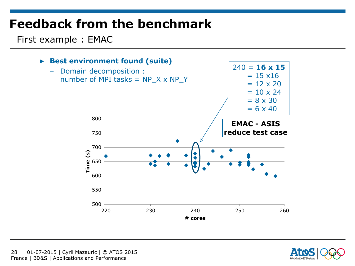First example : EMAC

![](_page_20_Figure_2.jpeg)

![](_page_20_Picture_3.jpeg)

 | 01-07-2015 | Cyril Mazauric | © ATOS 2015 28 France | BD&S | Applications and Performance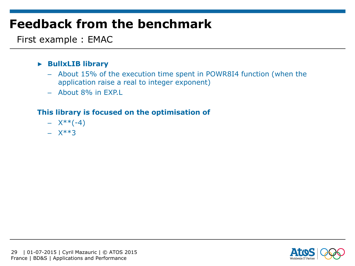First example : EMAC

#### ▶ **BullxLIB library**

- About 15% of the execution time spent in POWR8I4 function (when the application raise a real to integer exponent)
- About 8% in EXP.L

#### **This library is focused on the optimisation of**

- $X^{**}(-4)$
- $X^{***}3$

![](_page_21_Picture_8.jpeg)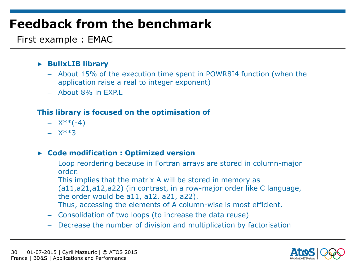First example : EMAC

#### ▶ **BullxLIB library**

- About 15% of the execution time spent in POWR8I4 function (when the application raise a real to integer exponent)
- About 8% in EXP.L

#### **This library is focused on the optimisation of**

- $X^{**}(-4)$
- $X**3$

#### ▶ **Code modification : Optimized version**

– Loop reordering because in Fortran arrays are stored in column-major order.

This implies that the matrix A will be stored in memory as (a11,a21,a12,a22) (in contrast, in a row-major order like C language, the order would be a11, a12, a21, a22). Thus, accessing the elements of A column-wise is most efficient.

- Consolidation of two loops (to increase the data reuse)
- Decrease the number of division and multiplication by factorisation

![](_page_22_Picture_14.jpeg)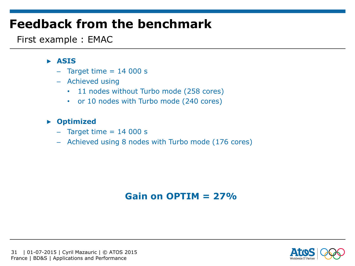First example : EMAC

#### ▶ **ASIS**

- $-$  Target time  $= 14000 s$
- Achieved using
	- 11 nodes without Turbo mode (258 cores)
	- or 10 nodes with Turbo mode (240 cores)

#### ▶ **Optimized**

- $-$  Target time  $= 14000 s$
- Achieved using 8 nodes with Turbo mode (176 cores)

### **Gain on OPTIM = 27%**

![](_page_23_Picture_11.jpeg)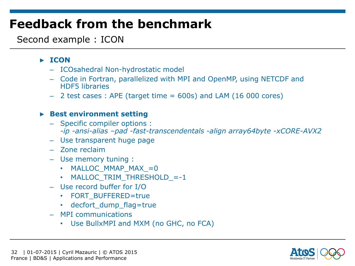### Second example : ICON

#### ▶ **ICON**

- ICOsahedral Non-hydrostatic model
- Code in Fortran, parallelized with MPI and OpenMP, using NETCDF and HDF5 libraries
- $-$  2 test cases : APE (target time  $= 600$ s) and LAM (16 000 cores)

#### ▶ **Best environment setting**

- Specific compiler options : *-ip -ansi-alias –pad -fast-transcendentals -align array64byte -xCORE-AVX2*
- Use transparent huge page
- Zone reclaim
- Use memory tuning :
	- MALLOC MMAP MAX =0
	- MALLOC TRIM THRESHOLD =-1
- Use record buffer for I/O
	- FORT BUFFERED=true
	- decfort dump flag=true
- MPI communications
	- Use BullxMPI and MXM (no GHC, no FCA)

![](_page_24_Picture_18.jpeg)

![](_page_24_Picture_19.jpeg)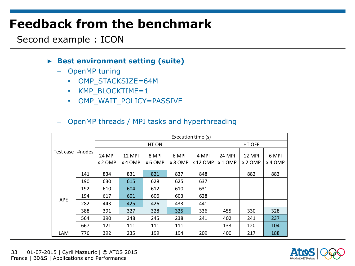Second example : ICON

#### ▶ **Best environment setting (suite)**

- OpenMP tuning
	- OMP STACKSIZE=64M
	- KMP BLOCKTIME=1
	- OMP\_WAIT\_POLICY=PASSIVE

#### – OpenMP threads / MPI tasks and hyperthreading

| Test case  | #nodes | Execution time (s)       |                   |                  |                  |                   |                            |                   |                  |
|------------|--------|--------------------------|-------------------|------------------|------------------|-------------------|----------------------------|-------------------|------------------|
|            |        | HT ON                    |                   |                  |                  |                   | HT OFF                     |                   |                  |
|            |        | <b>24 MPI</b><br>x 2 OMP | 12 MPI<br>x 4 OMP | 8 MPI<br>x 6 OMP | 6 MPI<br>x 8 OMP | 4 MPI<br>x 12 OMP | <b>24 MPI</b><br>$x 1$ OMP | 12 MPI<br>x 2 OMP | 6 MPI<br>x 4 OMP |
| <b>APE</b> | 141    | 834                      | 831               | 821              | 837              | 848               |                            | 882               | 883              |
|            | 190    | 630                      | 615               | 628              | 625              | 637               |                            |                   |                  |
|            | 192    | 610                      | 604               | 612              | 610              | 631               |                            |                   |                  |
|            | 194    | 617                      | 601               | 606              | 603              | 628               |                            |                   |                  |
|            | 282    | 443                      | 425               | 426              | 433              | 441               |                            |                   |                  |
|            | 388    | 391                      | 327               | 328              | 325              | 336               | 455                        | 330               | 328              |
|            | 564    | 390                      | 248               | 245              | 238              | 241               | 402                        | 241               | 237              |
|            | 667    | 121                      | 111               | 111              | 111              |                   | 133                        | 120               | 104              |
| <b>LAM</b> | 776    | 392                      | 235               | 199              | 194              | 209               | 400                        | 217               | 188              |

![](_page_25_Picture_10.jpeg)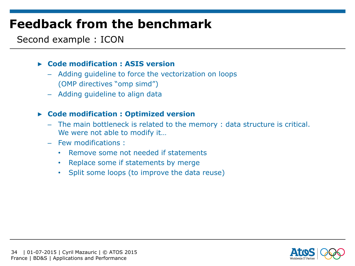### Second example : ICON

#### ▶ **Code modification : ASIS version**

- Adding guideline to force the vectorization on loops (OMP directives "omp simd")
- Adding guideline to align data

#### ▶ **Code modification : Optimized version**

- The main bottleneck is related to the memory : data structure is critical. We were not able to modify it…
- Few modifications :
	- Remove some not needed if statements
	- Replace some if statements by merge
	- Split some loops (to improve the data reuse)

![](_page_26_Picture_11.jpeg)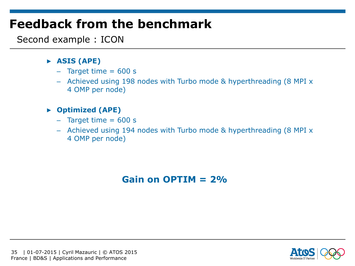Second example : ICON

#### ▶ **ASIS (APE)**

- $-$  Target time  $= 600 s$
- Achieved using 198 nodes with Turbo mode & hyperthreading (8 MPI x 4 OMP per node)

#### ▶ **Optimized (APE)**

- $-$  Target time  $= 600 s$
- Achieved using 194 nodes with Turbo mode & hyperthreading (8 MPI x 4 OMP per node)

### **Gain on OPTIM = 2%**

![](_page_27_Picture_9.jpeg)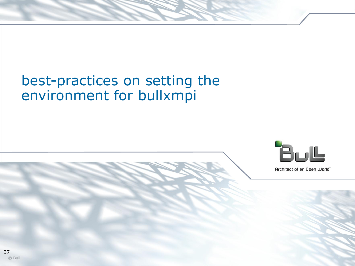## best-practices on setting the environment for bullxmpi

![](_page_28_Picture_1.jpeg)

Architect of an Open World"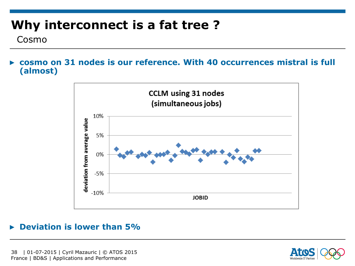## **Why interconnect is a fat tree ?**

Cosmo

▶ **cosmo on 31 nodes is our reference. With 40 occurrences mistral is full (almost)** 

![](_page_29_Figure_3.jpeg)

#### ▶ **Deviation is lower than 5%**

![](_page_29_Picture_6.jpeg)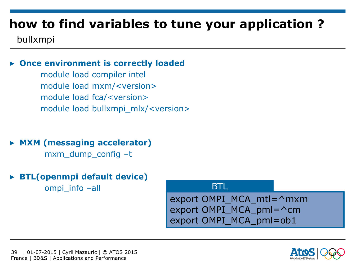## **how to find variables to tune your application ?**

### bullxmpi

#### **Once environment is correctly loaded**

module load compiler intel module load mxm/<version> module load fca/<version> module load bullxmpi\_mlx/<version>

▶ **MXM (messaging accelerator)**

mxm\_dump\_config –t

▶ **BTL(openmpi default device)**

ompi\_info –all

**BTL** 

export OMPI\_MCA\_mtl=^mxm export OMPI\_MCA\_pml=^cm export OMPI\_MCA\_pml=ob1

![](_page_30_Picture_11.jpeg)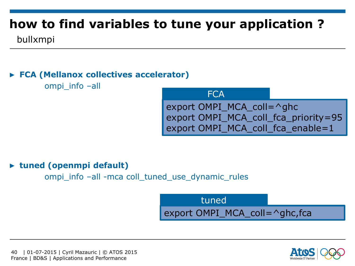## **how to find variables to tune your application ?**

bullxmpi

### ▶ **FCA (Mellanox collectives accelerator)**

ompi\_info –all

**FCA** 

export OMPI\_MCA\_coll=^ghc export OMPI\_MCA\_coll\_fca\_priority=95 export OMPI\_MCA\_coll\_fca\_enable=1

#### ▶ **tuned (openmpi default)**

ompi info –all -mca coll tuned use dynamic rules

export OMPI\_MCA\_coll=^ghc,fca tuned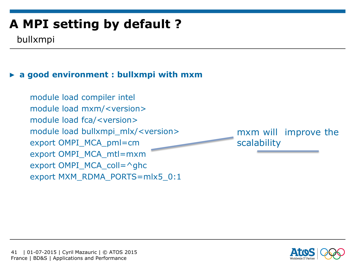bullxmpi

### ▶ **a good environment : bullxmpi with mxm**

module load compiler intel module load mxm/<version> module load fca/<version> module load bullxmpi\_mlx/<version> export OMPI\_MCA\_pml=cm export OMPI\_MCA\_mtl=mxm export OMPI MCA coll= $\triangle$ ghc export MXM\_RDMA\_PORTS=mlx5\_0:1

mxm will improve the scalability

![](_page_32_Picture_5.jpeg)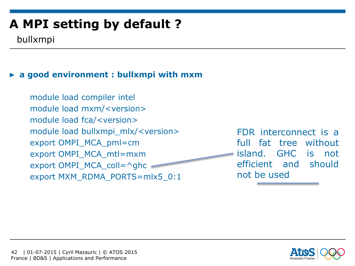bullxmpi

### ▶ **a good environment : bullxmpi with mxm**

module load compiler intel module load mxm/<version> module load fca/<version> module load bullxmpi\_mlx/<version> export OMPI\_MCA\_pml=cm export OMPI\_MCA\_mtl=mxm export OMPI\_MCA\_coll=^ghc = export MXM\_RDMA\_PORTS=mlx5\_0:1

FDR interconnect is a full fat tree without island. GHC is not efficient and should not be used

![](_page_33_Picture_6.jpeg)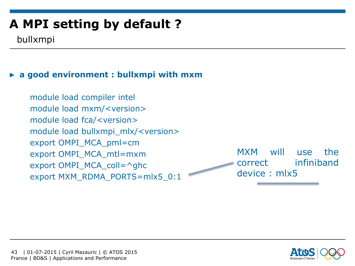bullxmpi

### ▶ **a good environment : bullxmpi with mxm**

module load compiler intel module load mxm/<version> module load fca/<version> module load bullxmpi\_mlx/<version> export OMPI\_MCA\_pml=cm export OMPI\_MCA\_mtl=mxm export OMPI MCA coll= $\triangle$ ghc export MXM\_RDMA\_PORTS=mlx5\_0:1

MXM will use the correct infiniband device : mlx5

![](_page_34_Picture_6.jpeg)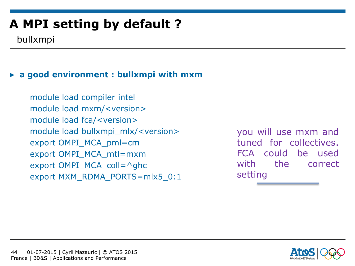bullxmpi

### ▶ **a good environment : bullxmpi with mxm**

module load compiler intel module load mxm/<version> module load fca/<version> module load bullxmpi\_mlx/<version> export OMPI\_MCA\_pml=cm export OMPI\_MCA\_mtl=mxm export OMPI MCA coll= $\triangle$ ghc export MXM\_RDMA\_PORTS=mlx5\_0:1

you will use mxm and tuned for collectives. FCA could be used with the correct setting

![](_page_35_Picture_6.jpeg)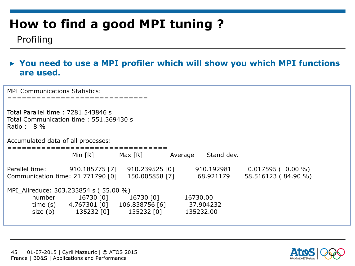### Profiling

#### ▶ **You need to use a MPI profiler which will show you which MPI functions are used.**

MPI Communications Statistics: ============================= Total Parallel time : 7281.543846 s Total Communication time : 551.369430 s Ratio : 8 % Accumulated data of all processes: ================================= Min [R] Max [R] Average Stand dev. Parallel time: 910.185775 [7] 910.239525 [0] 910.192981 0.017595 (0.00 %) Communication time: 21.771790 [0] 150.005858 [7] 68.921179 58.516123 ( 84.90 %) …… MPI\_Allreduce: 303.233854 s ( 55.00 %) number 16730 [0] 16730 [0] 16730.00 time (s) 4.767301 [0] 106.838756 [6] 37.904232 size (b) 135232 [0] 135232 [0] 135232.00

![](_page_36_Picture_5.jpeg)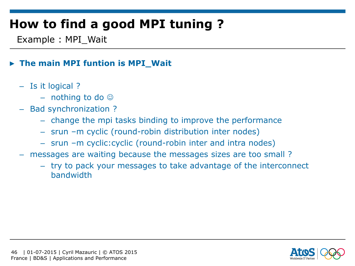Example : MPI\_Wait

### ▶ **The main MPI funtion is MPI\_Wait**

- Is it logical ?
	- $-$  nothing to do  $\odot$
- Bad synchronization ?
	- change the mpi tasks binding to improve the performance
	- srun –m cyclic (round-robin distribution inter nodes)
	- srun –m cyclic:cyclic (round-robin inter and intra nodes)
- messages are waiting because the messages sizes are too small ?
	- try to pack your messages to take advantage of the interconnect bandwidth

![](_page_37_Picture_11.jpeg)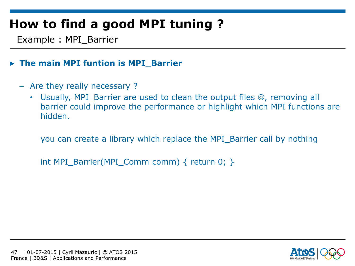Example : MPI\_Barrier

### ▶ **The main MPI funtion is MPI\_Barrier**

- Are they really necessary ?
	- Usually, MPI Barrier are used to clean the output files  $\circledcirc$ , removing all barrier could improve the performance or highlight which MPI functions are hidden.

you can create a library which replace the MPI\_Barrier call by nothing

int MPI\_Barrier(MPI\_Comm comm) { return 0; }

![](_page_38_Picture_7.jpeg)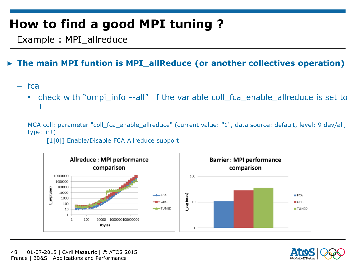Example : MPI\_allreduce

### ▶ **The main MPI funtion is MPI\_allReduce (or another collectives operation)**

- fca
	- check with "ompi\_info --all" if the variable coll\_fca\_enable\_allreduce is set to 1

MCA coll: parameter "coll fca enable allreduce" (current value: "1", data source: default, level: 9 dev/all, type: int)

#### [1|0|] Enable/Disable FCA Allreduce support

![](_page_39_Figure_7.jpeg)

![](_page_39_Picture_8.jpeg)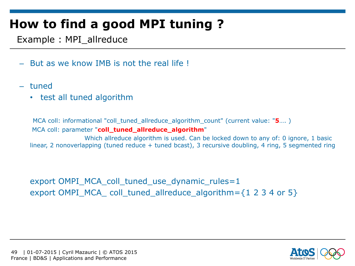Example : MPI\_allreduce

- But as we know IMB is not the real life !
- tuned
	- test all tuned algorithm

MCA coll: informational "coll\_tuned\_allreduce\_algorithm\_count" (current value: "**5**…. ) MCA coll: parameter "coll tuned allreduce algorithm"

Which allreduce algorithm is used. Can be locked down to any of: 0 ignore, 1 basic linear, 2 nonoverlapping (tuned reduce + tuned bcast), 3 recursive doubling, 4 ring, 5 segmented ring

export OMPI\_MCA\_coll\_tuned\_use\_dynamic\_rules=1 export OMPI\_MCA\_ coll\_tuned\_allreduce\_algorithm= $\{1\ 2\ 3\ 4\$  or  $5\}$ 

![](_page_40_Picture_8.jpeg)